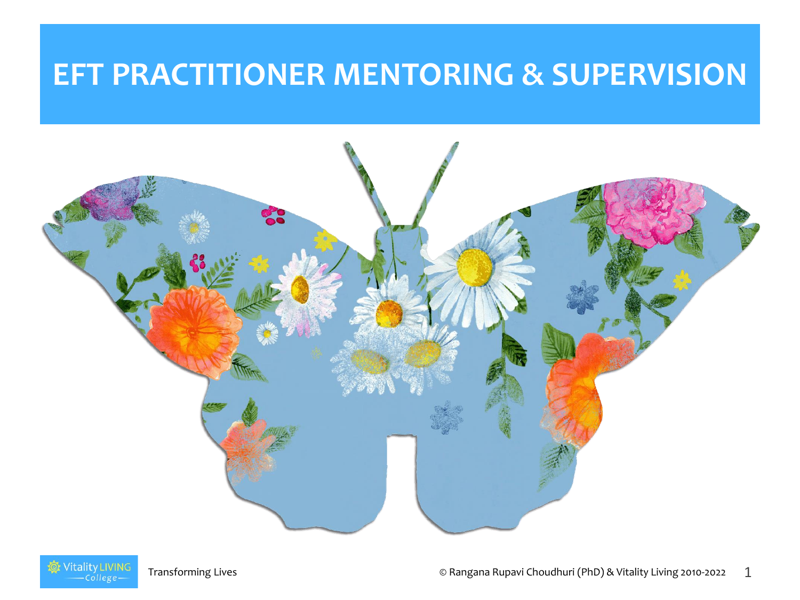#### **EFT PRACTITIONER MENTORING & SUPERVISION**



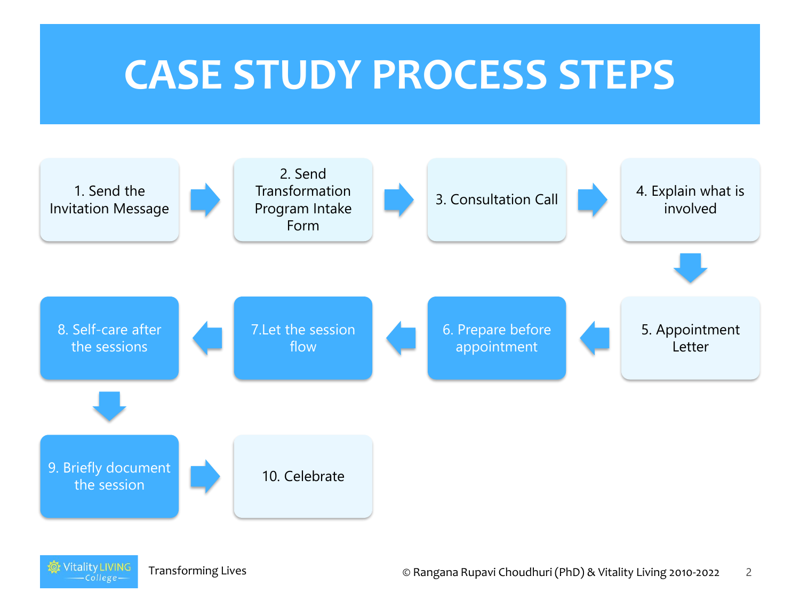#### **CASE STUDY PROCESS STEPS**

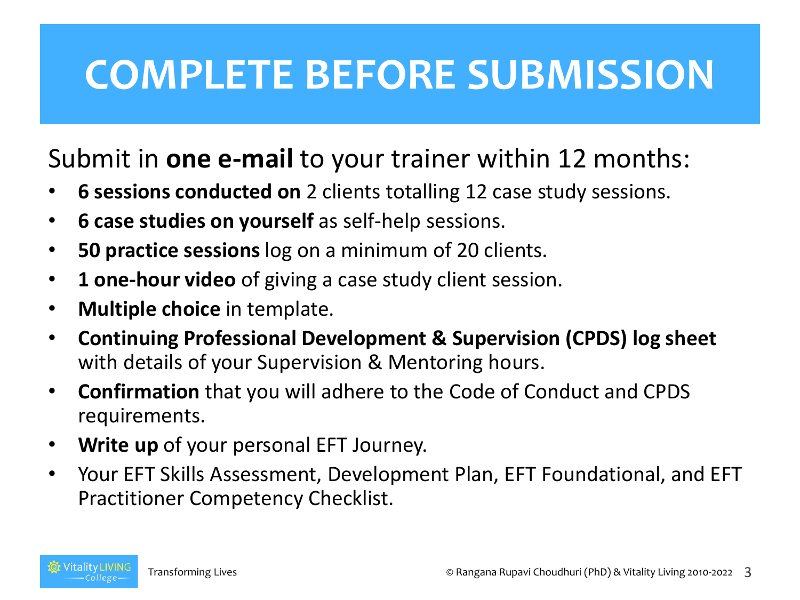#### **COMPLETE BEFORE SUBMISSION**

Submit in **one e-mail** to your trainer within 12 months:

- **6 sessions conducted on** 2 clients totalling 12 case study sessions.
- **6 case studies on yourself** as self-help sessions.
- **50 practice sessions** log on a minimum of 20 clients.
- **1 one-hour video** of giving a case study client session.
- **Multiple choice** in template.
- **Continuing Professional Development & Supervision (CPDS) log sheet**  with details of your Supervision & Mentoring hours.
- **Confirmation** that you will adhere to the Code of Conduct and CPDS requirements.
- **Write up** of your personal EFT Journey.
- Your EFT Skills Assessment, Development Plan, EFT Foundational, and EFT Practitioner Competency Checklist.

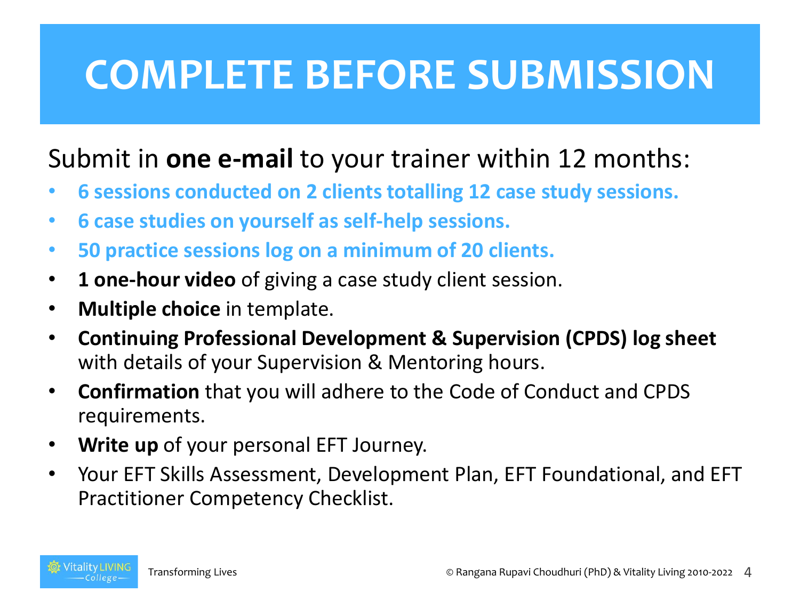#### **COMPLETE BEFORE SUBMISSION**

#### Submit in **one e-mail** to your trainer within 12 months:

- **6 sessions conducted on 2 clients totalling 12 case study sessions.**
- **6 case studies on yourself as self-help sessions.**
- **50 practice sessions log on a minimum of 20 clients.**
- **1 one-hour video** of giving a case study client session.
- **Multiple choice** in template.
- **Continuing Professional Development & Supervision (CPDS) log sheet**  with details of your Supervision & Mentoring hours.
- **Confirmation** that you will adhere to the Code of Conduct and CPDS requirements.
- **Write up** of your personal EFT Journey.
- Your EFT Skills Assessment, Development Plan, EFT Foundational, and EFT Practitioner Competency Checklist.

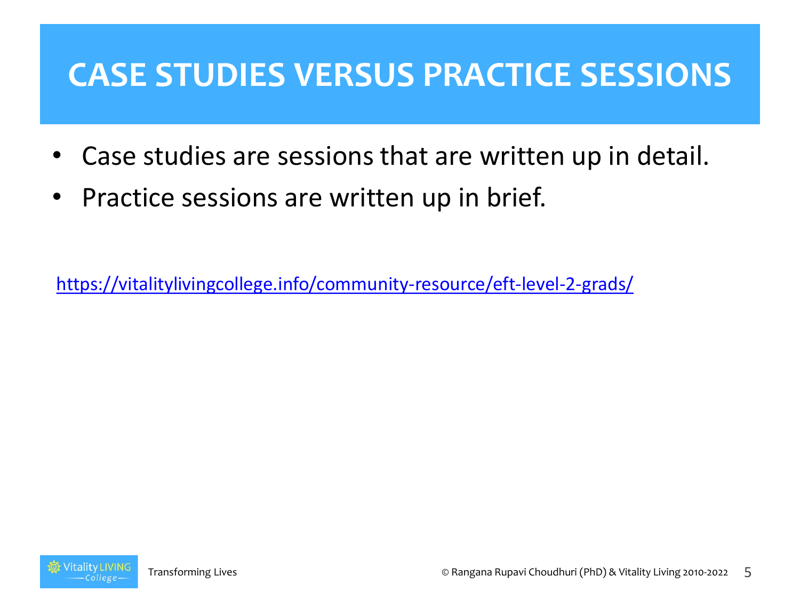#### **CASE STUDIES VERSUS PRACTICE SESSIONS**

- Case studies are sessions that are written up in detail.
- Practice sessions are written up in brief.

<https://vitalitylivingcollege.info/community-resource/eft-level-2-grads/>

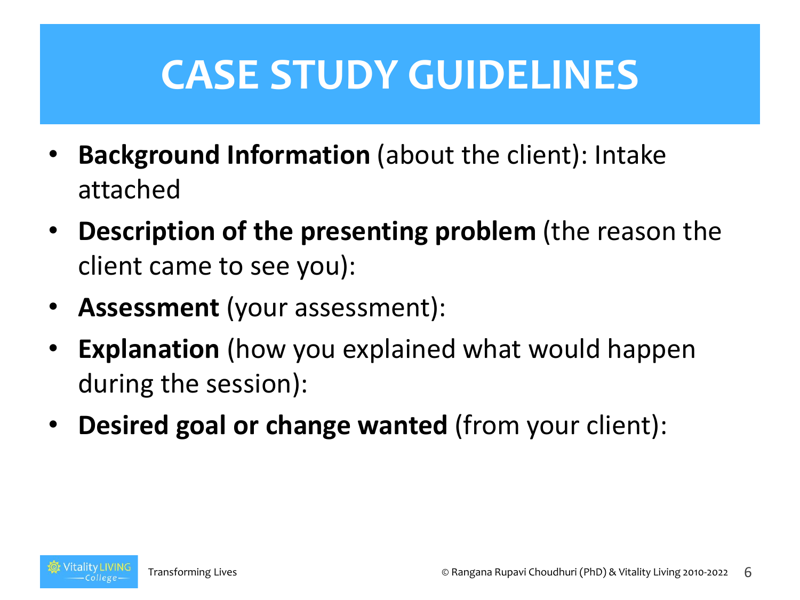- **Background Information** (about the client): Intake attached
- **Description of the presenting problem** (the reason the client came to see you):
- **Assessment** (your assessment):
- **Explanation** (how you explained what would happen during the session):
- **Desired goal or change wanted** (from your client):

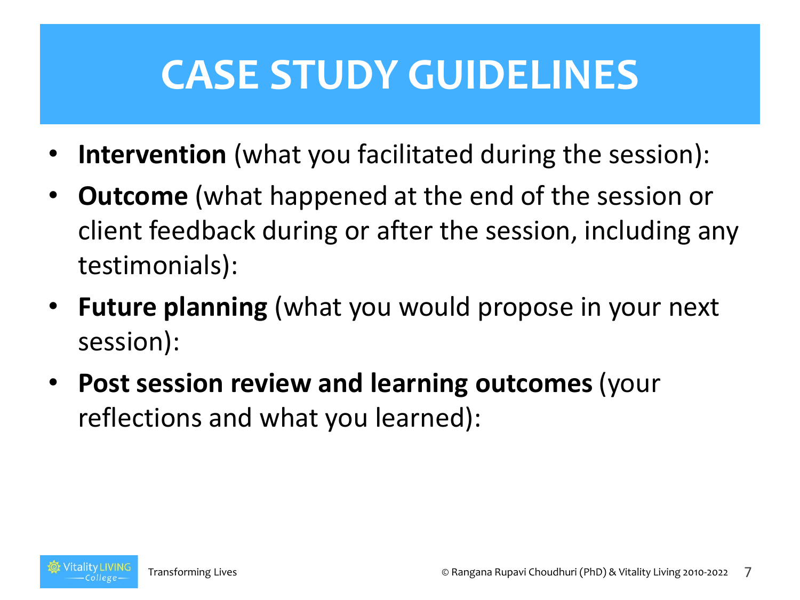- **Intervention** (what you facilitated during the session):
- **Outcome** (what happened at the end of the session or client feedback during or after the session, including any testimonials):
- **Future planning** (what you would propose in your next session):
- **Post session review and learning outcomes** (your reflections and what you learned):

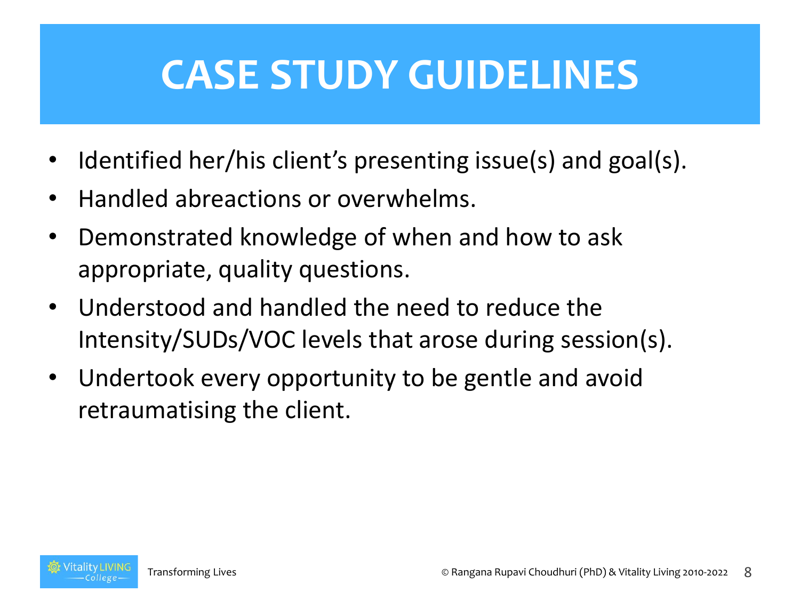- Identified her/his client's presenting issue(s) and goal(s).
- Handled abreactions or overwhelms.
- Demonstrated knowledge of when and how to ask appropriate, quality questions.
- Understood and handled the need to reduce the Intensity/SUDs/VOC levels that arose during session(s).
- Undertook every opportunity to be gentle and avoid retraumatising the client.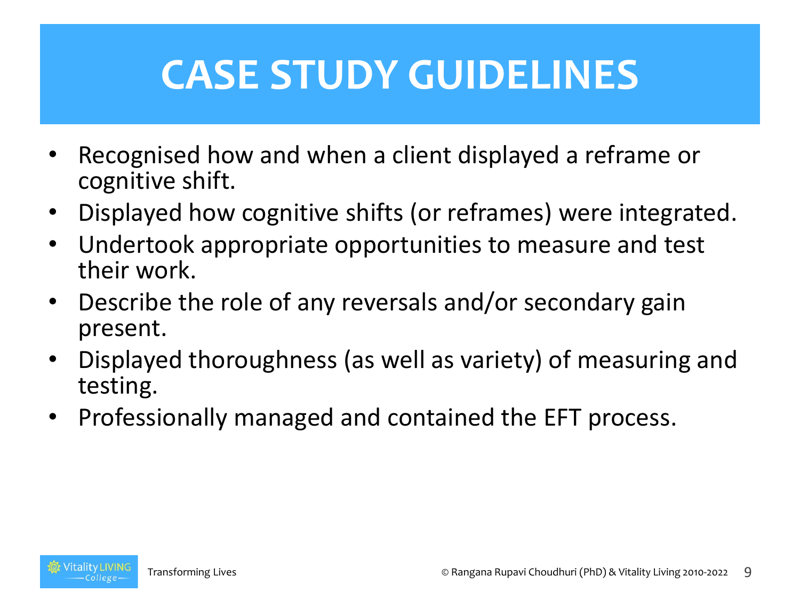- Recognised how and when a client displayed a reframe or cognitive shift.
- Displayed how cognitive shifts (or reframes) were integrated.
- Undertook appropriate opportunities to measure and test their work.
- Describe the role of any reversals and/or secondary gain present.
- Displayed thoroughness (as well as variety) of measuring and testing.
- Professionally managed and contained the EFT process.

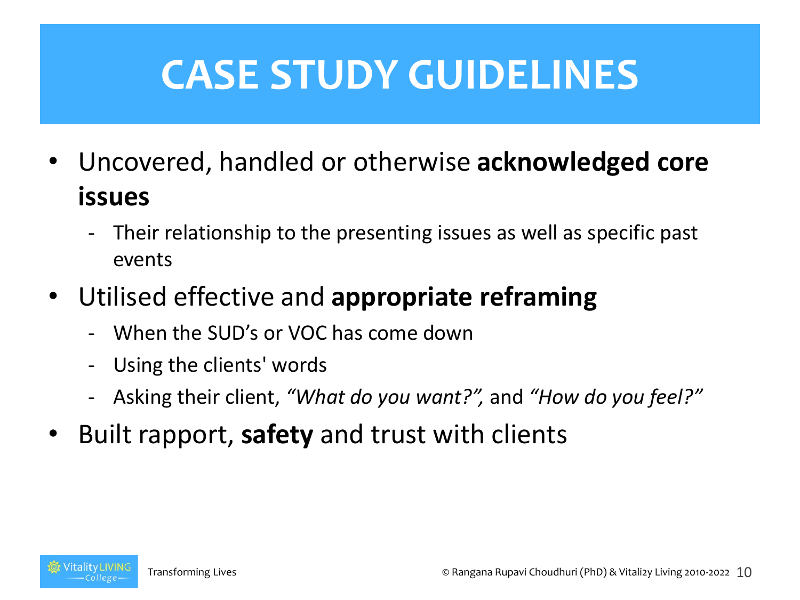- Uncovered, handled or otherwise **acknowledged core issues**
	- Their relationship to the presenting issues as well as specific past events
- Utilised effective and **appropriate reframing**
	- When the SUD's or VOC has come down
	- Using the clients' words
	- Asking their client, *"What do you want?",* and *"How do you feel?"*
- Built rapport, **safety** and trust with clients

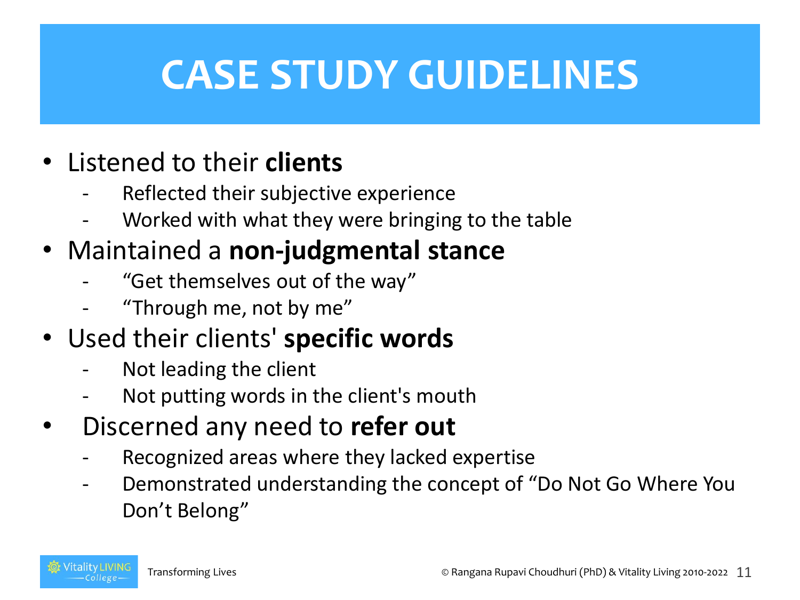- Listened to their **clients**
	- Reflected their subjective experience
	- Worked with what they were bringing to the table
- Maintained a **non-judgmental stance**
	- "Get themselves out of the way"
	- "Through me, not by me"
- Used their clients' **specific words**
	- Not leading the client
	- Not putting words in the client's mouth
- Discerned any need to **refer out**
	- Recognized areas where they lacked expertise
	- Demonstrated understanding the concept of "Do Not Go Where You Don't Belong"

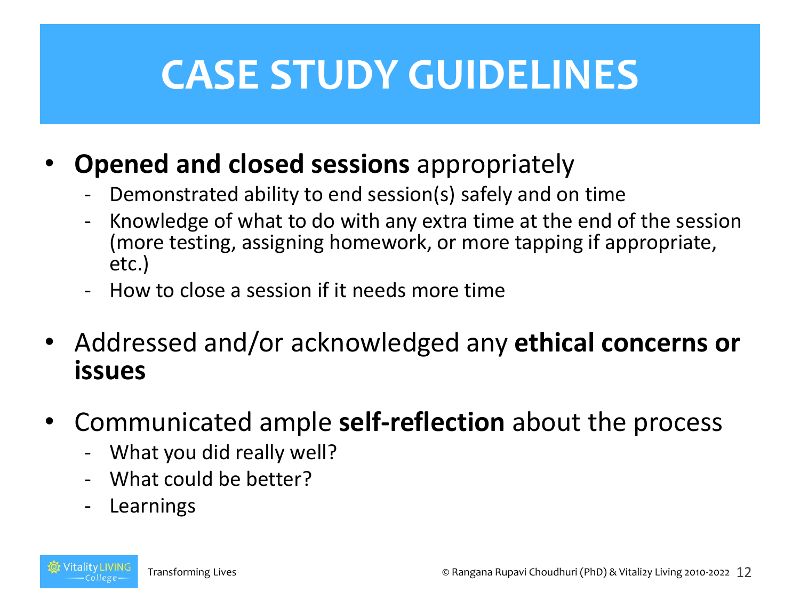- **Opened and closed sessions** appropriately
	- Demonstrated ability to end session(s) safely and on time
	- Knowledge of what to do with any extra time at the end of the session (more testing, assigning homework, or more tapping if appropriate, etc.)
	- How to close a session if it needs more time
- Addressed and/or acknowledged any **ethical concerns or issues**
- Communicated ample **self-reflection** about the process
	- What you did really well?
	- What could be better?
	- **Learnings**

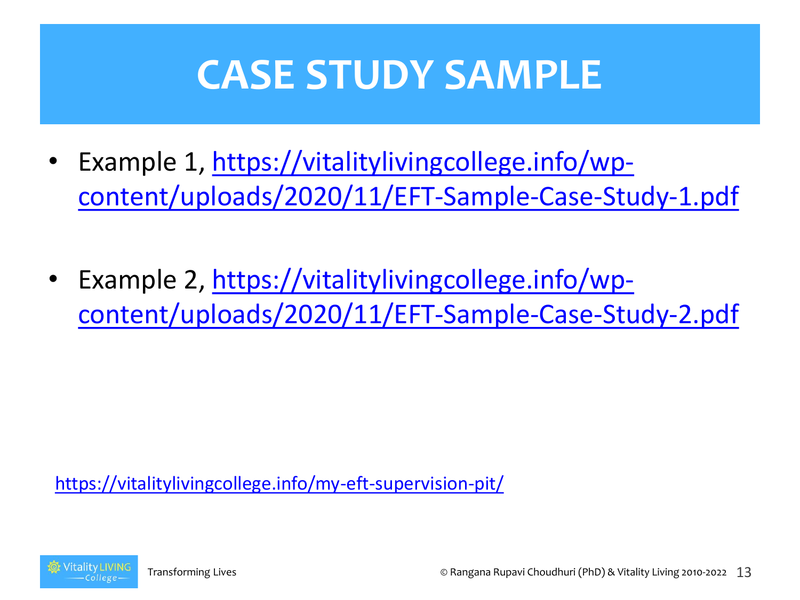#### **CASE STUDY SAMPLE**

- Example 1, https://vitalitylivingcollege.info/wp[content/uploads/2020/11/EFT-Sample-Case-Study-1.pdf](https://vitalitylivingcollege.info/wp-content/uploads/2020/11/EFT-Sample-Case-Study-1.pdf)
- Example 2, https://vitalitylivingcollege.info/wp[content/uploads/2020/11/EFT-Sample-Case-Study-2.pdf](https://vitalitylivingcollege.info/wp-content/uploads/2020/11/EFT-Sample-Case-Study-2.pdf)

<https://vitalitylivingcollege.info/my-eft-supervision-pit/>

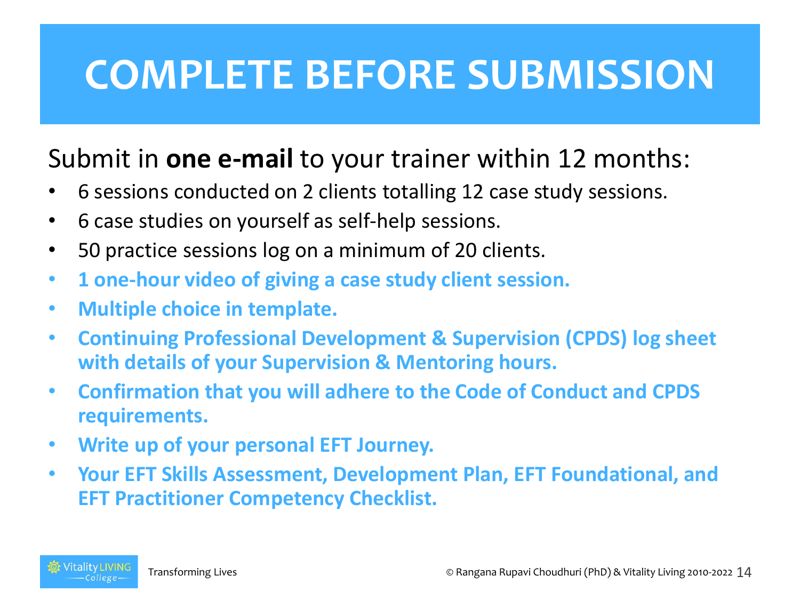#### **COMPLETE BEFORE SUBMISSION**

#### Submit in **one e-mail** to your trainer within 12 months:

- 6 sessions conducted on 2 clients totalling 12 case study sessions.
- 6 case studies on yourself as self-help sessions.
- 50 practice sessions log on a minimum of 20 clients.
- **1 one-hour video of giving a case study client session.**
- **Multiple choice in template.**
- **Continuing Professional Development & Supervision (CPDS) log sheet with details of your Supervision & Mentoring hours.**
- **Confirmation that you will adhere to the Code of Conduct and CPDS requirements.**
- **Write up of your personal EFT Journey.**
- **Your EFT Skills Assessment, Development Plan, EFT Foundational, and EFT Practitioner Competency Checklist.**

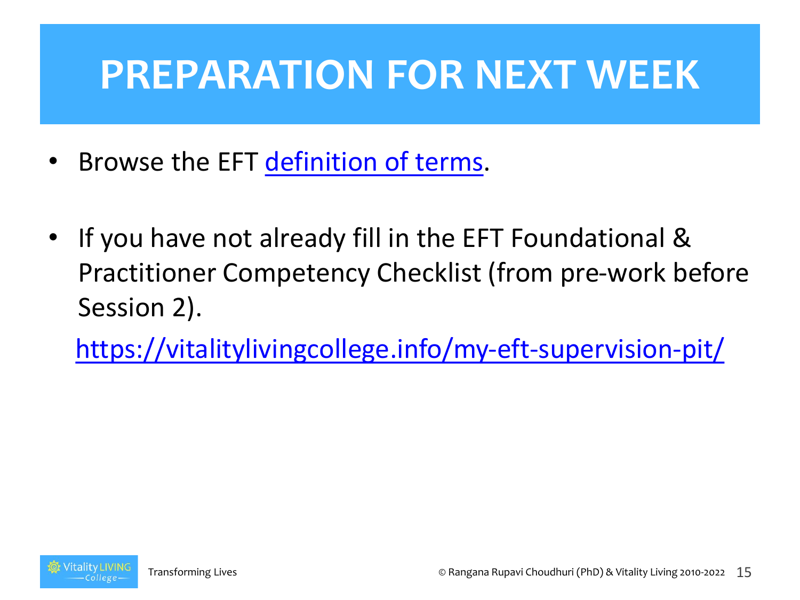#### **PREPARATION FOR NEXT WEEK**

- Browse the EFT [definition of terms](https://vitalitylivingcollege.info/the-eft-definition-of-terms/).
- If you have not already fill in the EFT Foundational & Practitioner Competency Checklist (from pre-work before Session 2).

<https://vitalitylivingcollege.info/my-eft-supervision-pit/>